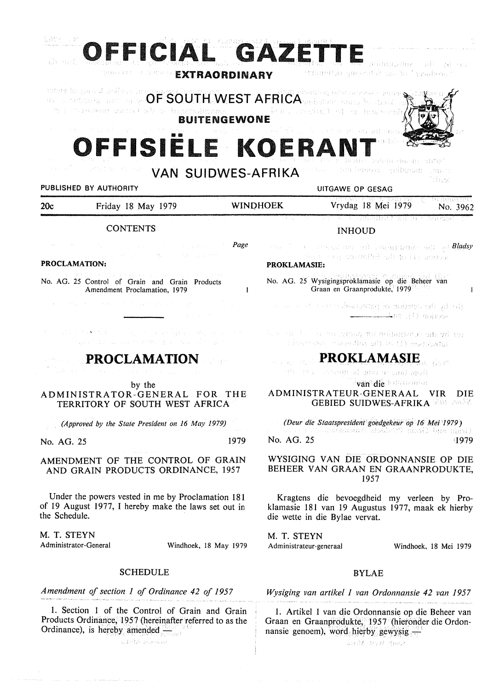

**VAN SUIDWES-AFRIKA** 

# PUBLISHED BY AUTHORITY **EXECUTE A SECOND TEST OF SECOND PUBLISHED** BY AUTHORITY

| 20c                  | the committee of the committee of the<br>and the state<br>Friday 18 May 1979                                                                                                                                                                                    | and the process of the state<br><b>WINDHOEK</b> | ्री जिल्लासियसम्बद्धाः ।<br>그런데 나는 그만 그만 가져서 잘 나왔다.<br>Vrydag 18 Mei 1979<br>No. 3962                     |
|----------------------|-----------------------------------------------------------------------------------------------------------------------------------------------------------------------------------------------------------------------------------------------------------------|-------------------------------------------------|-----------------------------------------------------------------------------------------------------------|
|                      | the control of the control of the control of<br><b>CONTENTS</b>                                                                                                                                                                                                 | and the control of the co-                      | 그 사람이 아이가 그렇게 그리고 있었다. 이 사람은 그 사람들은 그 사람들이 나서 그 사람들을 사고 있었다.<br><b>INHOUD</b>                             |
|                      | <u>Page</u> Page 2014 and 2014 and 2014 and 2014 and 2014 and 2014 and 2014 and 2014 and 2014 and 2014 and 2014 and 2014 and 2014 and 2014 and 2014 and 2014 and 2014 and 2014 and 2014 and 2014 and 2014 and 2014 and 2014 and 201<br>しょうはつ ハード・特許 オープスト ふんかがく |                                                 | i star i i se statuara na najmanatan mili ya <b>Bladsy</b><br>The County Constability of the Conservation |
| <b>PROCLAMATION:</b> |                                                                                                                                                                                                                                                                 |                                                 | <b>PROKLAMASIE:</b>                                                                                       |

 $\mathbf{1}$ 

### **PROKLAMASIE:**

No. AG. 25 Wysigingsproklamasie op die Beheer van Graan en Graanprodukte, 1979

- a at cateralisando segundade al eli وزيرون والمستنسب
- k a sit is output unan the evindited as all volton cingmon wiselbigitin di menyebu

**PROKLAMASIE** and the second of the second second second second second second second second second second second second second second second second second second second second second second second second second second seco

van die tommening

I

يوفرنجك

**ADMINISTRATEUR-GENERAAL VIR** DIE **GEBIED SUIDWES-AFRIKA** 

*(Deur die Staatspreside,1tgoedgekeur op 16 Mel '1979)*  No. AG. 25 1979

## WYSIGING VAN DIE ORDONNANSIE OP DIE BEHEER VAN GRAAN EN GRAANPRODUKTE, 1957

Kragtens die bevoegdheid my verleen by Proklamasie 181 van 19 Augustus 1977, maak ek hierby die wette in die Bylae vervat.

M. T. STEYN Administrateur-generaal Windhoek, 18 Mei 1979

## BYLAE

*Wysiging van artikel 1 van Ordonnansie 42 van 1957* 

1. Artikel 1 van die Ordonnansie op die Beheer van Graan en Graanprodukte, 1957 (hieronder die Ordonnansie genoem), word hierby gewysig ...

about print tone?

The Control of Control of **PROCLAMATION** by the ADMINISTRATOR-GENERAL FOR THE TERRITORY OF SOUTH WEST AFRICA *(Approved by the State President on 16 May 1979)*  No. AG. 25 1979

AMENDMENT OF THE CONTROL OF GRAIN AND GRAIN PRODUCTS ORDINANCE, 1957

No. AG. 25 Control of Grain and Grain Products Amendment Proclamation, 1979

Under the powers vested in me by Proclamation 181 of 19 August 1977, I hereby make the laws set out in the Schedule.

M. T. STEYN<br>Administrator-General

Windhoek, 18 May 1979

## **SCHEDULE**

*Amendment of section 1 of Ordinance 42 of 1957* 

1. Section 1 of the Control of Grain and Grain Products Ordinance; 1957 (hereinafter referred to as the Ordinance), is hereby amended  $-$ . adellA espoña